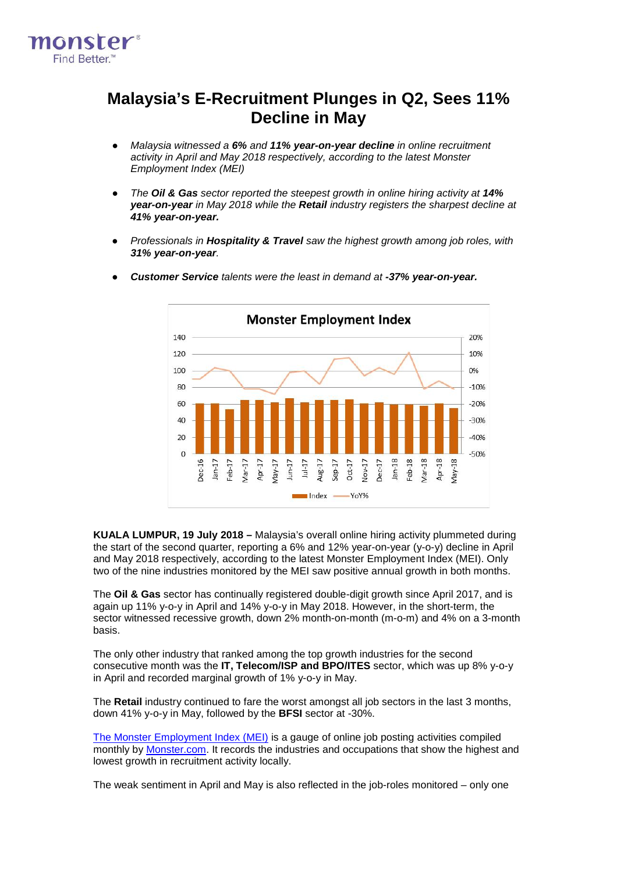

## **Malaysia's E-Recruitment Plunges in Q2, Sees 11% Decline in May**

- *Malaysia witnessed a 6% and 11% year-on-year decline in online recruitment activity in April and May 2018 respectively, according to the latest Monster Employment Index (MEI)*
- *The Oil & Gas sector reported the steepest growth in online hiring activity at 14% year-on-year in May 2018 while the Retail industry registers the sharpest decline at 41% year-on-year.*
- *Professionals in Hospitality & Travel saw the highest growth among job roles, with 31% year-on-year.*



● *Customer Service talents were the least in demand at -37% year-on-year.*

**KUALA LUMPUR, 19 July 2018 –** Malaysia's overall online hiring activity plummeted during the start of the second quarter, reporting a 6% and 12% year-on-year (y-o-y) decline in April and May 2018 respectively, according to the latest Monster Employment Index (MEI). Only two of the nine industries monitored by the MEI saw positive annual growth in both months.

The **Oil & Gas** sector has continually registered double-digit growth since April 2017, and is again up 11% y-o-y in April and 14% y-o-y in May 2018. However, in the short-term, the sector witnessed recessive growth, down 2% month-on-month (m-o-m) and 4% on a 3-month basis.

The only other industry that ranked among the top growth industries for the second consecutive month was the **IT, Telecom/ISP and BPO/ITES** sector, which was up 8% y-o-y in April and recorded marginal growth of 1% y-o-y in May.

The **Retail** industry continued to fare the worst amongst all job sectors in the last 3 months, down 41% y-o-y in May, followed by the **BFSI** sector at -30%.

The Monster [Employment](http://www.monster.com.my/employment-index/) Index (MEI) is a gauge of online job posting activities compiled monthly by [Monster.com.](http://www.monster.com.my/) It records the industries and occupations that show the highest and lowest growth in recruitment activity locally.

The weak sentiment in April and May is also reflected in the job-roles monitored – only one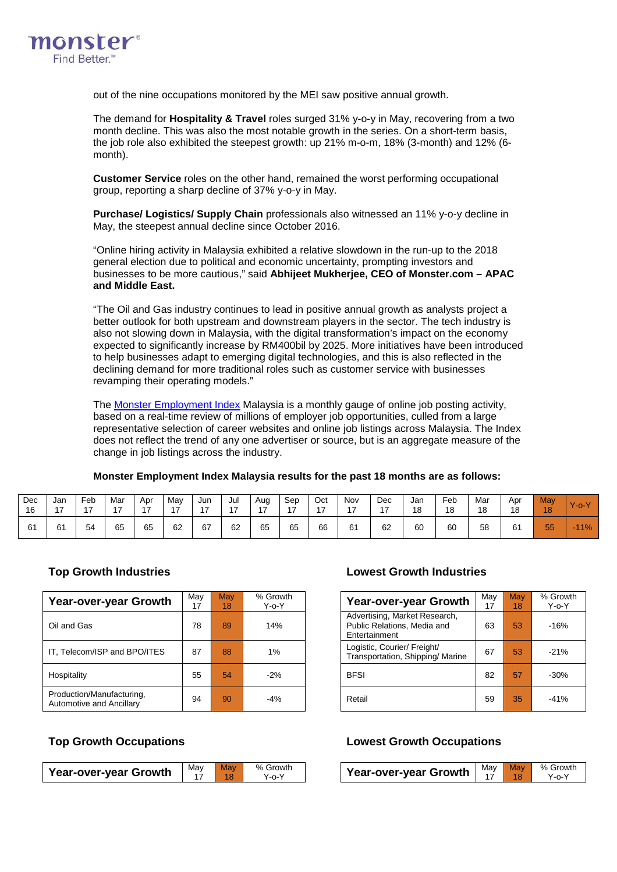

out of the nine occupations monitored by the MEI saw positive annual growth.

The demand for **Hospitality & Travel** roles surged 31% y-o-y in May, recovering from a two month decline. This was also the most notable growth in the series. On a short-term basis, the job role also exhibited the steepest growth: up 21% m-o-m, 18% (3-month) and 12% (6 month).

**Customer Service** roles on the other hand, remained the worst performing occupational group, reporting a sharp decline of 37% y-o-y in May.

**Purchase/ Logistics/ Supply Chain** professionals also witnessed an 11% y-o-y decline in May, the steepest annual decline since October 2016.

"Online hiring activity in Malaysia exhibited a relative slowdown in the run-up to the 2018 general election due to political and economic uncertainty, prompting investors and businesses to be more cautious," said **Abhijeet Mukherjee, CEO of Monster.com – APAC and Middle East.**

"The Oil and Gas industry continues to lead in positive annual growth as analysts project a better outlook for both upstream and downstream players in the sector. The tech industry is also not slowing down in Malaysia, with the digital transformation's impact on the economy expected to significantly increase by RM400bil by 2025. More initiatives have been introduced to help businesses adapt to emerging digital technologies, and this is also reflected in the declining demand for more traditional roles such as customer service with businesses revamping their operating models."

The Monster [Employment](http://www.monster.com.my/employment-index/) Index Malaysia is a monthly gauge of online job posting activity, based on a real-time review of millions of employer job opportunities, culled from a large representative selection of career websites and online job listings across Malaysia. The Index does not reflect the trend of any one advertiser or source, but is an aggregate measure of the change in job listings across the industry.

| Dec | Jan | Feb | Mar | Apr | Mav | Jun | Jul | Aug | Sep | Oct | Nov            | Dec | Jan | Feb | Mar | Apr | <b>May</b> | W.       |
|-----|-----|-----|-----|-----|-----|-----|-----|-----|-----|-----|----------------|-----|-----|-----|-----|-----|------------|----------|
| 16  | 47  | 47  | 47  | 47  | 47  | 17  | 47  | 17  | 47  | 17  | $\overline{ }$ | 47  | 18  | 18  | 18  | 18  | 18         | $-0 - Y$ |
| 61  | 61  | 54  | 65  | 65  | 62  | 67  | 62  | 65  | 65  | 66  | 61             | 62  | 60  | 60  | 58  | 61  | 55         | $-11\%$  |

### **Monster Employment Index Malaysia results for the past 18 months are as follows:**

### **Top Growth Industries Lowest Growth Industries**

| Year-over-year Growth                                 | Mav<br><b>May</b> |                 | % Growth    | <b>Year-over-year Growth</b>                                                  | May<br>17 | <b>May</b> | % Grov      |
|-------------------------------------------------------|-------------------|-----------------|-------------|-------------------------------------------------------------------------------|-----------|------------|-------------|
|                                                       | 17                | 18 <sup>1</sup> | $Y$ -o- $Y$ |                                                                               |           | 18         | $Y$ -0- $Y$ |
| Oil and Gas                                           | 78                | 89              | 14%         | Advertising, Market Research,<br>Public Relations, Media and<br>Entertainment | 63        | 53         | $-16%$      |
| IT, Telecom/ISP and BPO/ITES                          | 87                | 88              | 1%          | Logistic, Courier/ Freight/<br>Transportation, Shipping/ Marine               | 67        | 53         | $-21%$      |
| Hospitality                                           | 55                | 54              | $-2%$       | <b>BFSI</b>                                                                   | 82        | 57         | $-30%$      |
| Production/Manufacturing,<br>Automotive and Ancillary | 94                | 90              | $-4%$       | Retail                                                                        | 59        | 35         | $-41%$      |

| Growth<br>Y-o-Y | <b>Year-over-year Growth</b>                                                  | May<br>17 | May<br>18 | % Growth<br>$Y - 0 - Y$ |
|-----------------|-------------------------------------------------------------------------------|-----------|-----------|-------------------------|
| 14%             | Advertising, Market Research,<br>Public Relations, Media and<br>Entertainment | 63        | 53        | $-16%$                  |
| 1%              | Logistic, Courier/ Freight/<br>Transportation, Shipping/Marine                | 67        | 53        | $-21%$                  |
| $-2%$           | <b>BFSI</b>                                                                   | 82        | 57        | $-30%$                  |
| $-4%$           | Retail                                                                        | 59        | 35        | $-41%$                  |

| <b>Year-over-year Growth</b> | May May | $\overline{18}$ | % Growth<br>Y-0-Y |
|------------------------------|---------|-----------------|-------------------|
|                              |         |                 |                   |

### **Top Growth Occupations Lowest Growth Occupations**

| Growth<br>Year-over-year Growth  <br>Y-o-Y |  | May May | % Growth<br>Y-o-Y |
|--------------------------------------------|--|---------|-------------------|
|--------------------------------------------|--|---------|-------------------|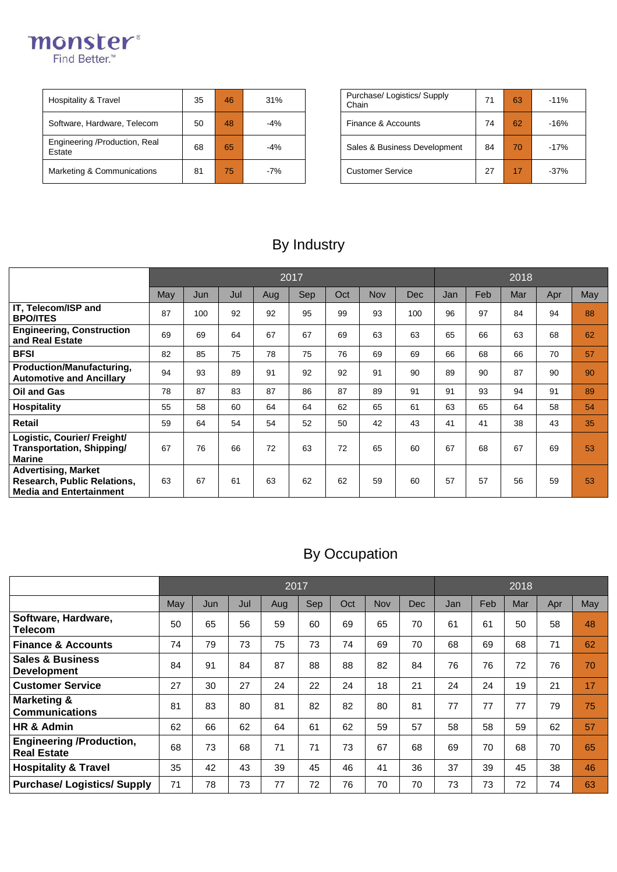

| Hospitality & Travel                    | 35 | 46 | 31%   | Purchase/ Logistics/ Supply<br>Chain | 71 | 63 | $-11%$ |
|-----------------------------------------|----|----|-------|--------------------------------------|----|----|--------|
| Software, Hardware, Telecom             | 50 | 48 | $-4%$ | Finance & Accounts                   | 74 | 62 | $-16%$ |
| Engineering /Production, Real<br>Estate | 68 | 65 | $-4%$ | Sales & Business Development         | 84 | 70 | $-17%$ |
| Marketing & Communications              | 81 | 75 | $-7%$ | <b>Customer Service</b>              | 27 | 17 | $-37%$ |

| Purchase/ Logistics/ Supply<br>Chain | 71 | 63 | $-11%$ |
|--------------------------------------|----|----|--------|
| Finance & Accounts                   | 74 | 62 | $-16%$ |
| Sales & Business Development         | 84 | 70 | $-17%$ |
| <b>Customer Service</b>              | 27 | 17 | $-37%$ |

# By Industry

|                                                                                                    |     |     |     |     | 2017 |     |            |            | 2018 |     |     |     |     |  |
|----------------------------------------------------------------------------------------------------|-----|-----|-----|-----|------|-----|------------|------------|------|-----|-----|-----|-----|--|
|                                                                                                    | May | Jun | Jul | Aug | Sep  | Oct | <b>Nov</b> | <b>Dec</b> | Jan  | Feb | Mar | Apr | May |  |
| IT, Telecom/ISP and<br><b>BPO/ITES</b>                                                             | 87  | 100 | 92  | 92  | 95   | 99  | 93         | 100        | 96   | 97  | 84  | 94  | 88  |  |
| <b>Engineering, Construction</b><br>and Real Estate                                                | 69  | 69  | 64  | 67  | 67   | 69  | 63         | 63         | 65   | 66  | 63  | 68  | 62  |  |
| <b>BFSI</b>                                                                                        | 82  | 85  | 75  | 78  | 75   | 76  | 69         | 69         | 66   | 68  | 66  | 70  | 57  |  |
| Production/Manufacturing,<br><b>Automotive and Ancillary</b>                                       | 94  | 93  | 89  | 91  | 92   | 92  | 91         | 90         | 89   | 90  | 87  | 90  | 90  |  |
| Oil and Gas                                                                                        | 78  | 87  | 83  | 87  | 86   | 87  | 89         | 91         | 91   | 93  | 94  | 91  | 89  |  |
| <b>Hospitality</b>                                                                                 | 55  | 58  | 60  | 64  | 64   | 62  | 65         | 61         | 63   | 65  | 64  | 58  | 54  |  |
| <b>Retail</b>                                                                                      | 59  | 64  | 54  | 54  | 52   | 50  | 42         | 43         | 41   | 41  | 38  | 43  | 35  |  |
| Logistic, Courier/ Freight/<br><b>Transportation, Shipping/</b><br><b>Marine</b>                   | 67  | 76  | 66  | 72  | 63   | 72  | 65         | 60         | 67   | 68  | 67  | 69  | 53  |  |
| <b>Advertising, Market</b><br><b>Research, Public Relations,</b><br><b>Media and Entertainment</b> | 63  | 67  | 61  | 63  | 62   | 62  | 59         | 60         | 57   | 57  | 56  | 59  | 53  |  |

# By Occupation

|                                                       |     |     |     | 2017 |     |     |     |     | 2018 |     |     |     |     |  |
|-------------------------------------------------------|-----|-----|-----|------|-----|-----|-----|-----|------|-----|-----|-----|-----|--|
|                                                       | May | Jun | Jul | Aug  | Sep | Oct | Nov | Dec | Jan  | Feb | Mar | Apr | May |  |
| Software, Hardware,<br>Telecom                        | 50  | 65  | 56  | 59   | 60  | 69  | 65  | 70  | 61   | 61  | 50  | 58  | 48  |  |
| <b>Finance &amp; Accounts</b>                         | 74  | 79  | 73  | 75   | 73  | 74  | 69  | 70  | 68   | 69  | 68  | 71  | 62  |  |
| <b>Sales &amp; Business</b><br><b>Development</b>     | 84  | 91  | 84  | 87   | 88  | 88  | 82  | 84  | 76   | 76  | 72  | 76  | 70  |  |
| <b>Customer Service</b>                               | 27  | 30  | 27  | 24   | 22  | 24  | 18  | 21  | 24   | 24  | 19  | 21  | 17  |  |
| <b>Marketing &amp;</b><br><b>Communications</b>       | 81  | 83  | 80  | 81   | 82  | 82  | 80  | 81  | 77   | 77  | 77  | 79  | 75  |  |
| HR & Admin                                            | 62  | 66  | 62  | 64   | 61  | 62  | 59  | 57  | 58   | 58  | 59  | 62  | 57  |  |
| <b>Engineering /Production,</b><br><b>Real Estate</b> | 68  | 73  | 68  | 71   | 71  | 73  | 67  | 68  | 69   | 70  | 68  | 70  | 65  |  |
| <b>Hospitality &amp; Travel</b>                       | 35  | 42  | 43  | 39   | 45  | 46  | 41  | 36  | 37   | 39  | 45  | 38  | 46  |  |
| <b>Purchase/ Logistics/ Supply</b>                    | 71  | 78  | 73  | 77   | 72  | 76  | 70  | 70  | 73   | 73  | 72  | 74  | 63  |  |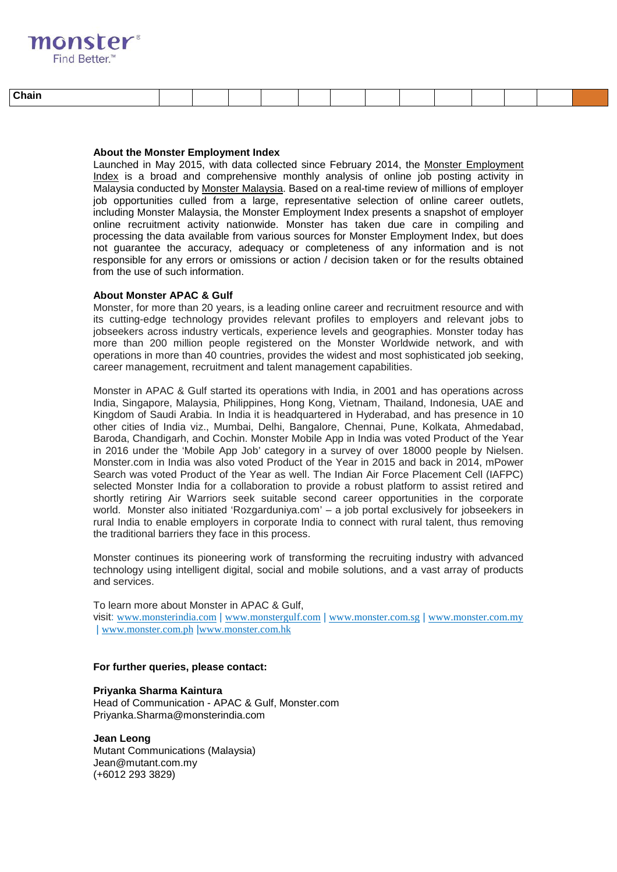## **monster Find Better**

| . .<br>:hair<br>_____ |  |  |  |  |  |  |  |  |  |  |  |
|-----------------------|--|--|--|--|--|--|--|--|--|--|--|
|-----------------------|--|--|--|--|--|--|--|--|--|--|--|

### **About the Monster Employment Index**

Launched in May 2015, with data collected since February 2014, the Monster [Employment](http://www.monster.com.my/employment-index/) [Index](http://www.monster.com.my/employment-index/) is a broad and comprehensive monthly analysis of online job posting activity in Malaysia conducted by Monster [Malaysia.](http://www.monster.com.my/) Based on a real-time review of millions of employer job opportunities culled from a large, representative selection of online career outlets, including Monster Malaysia, the Monster Employment Index presents a snapshot of employer online recruitment activity nationwide. Monster has taken due care in compiling and processing the data available from various sources for Monster Employment Index, but does not guarantee the accuracy, adequacy or completeness of any information and is not responsible for any errors or omissions or action / decision taken or for the results obtained from the use of such information.

### **About Monster APAC & Gulf**

Monster, for more than 20 years, is a leading online career and recruitment resource and with its cutting-edge technology provides relevant profiles to employers and relevant jobs to jobseekers across industry verticals, experience levels and geographies. Monster today has more than 200 million people registered on the Monster Worldwide network, and with operations in more than 40 countries, provides the widest and most sophisticated job seeking, career management, recruitment and talent management capabilities.

Monster in APAC & Gulf started its operations with India, in 2001 and has operations across India, Singapore, Malaysia, Philippines, Hong Kong, Vietnam, Thailand, Indonesia, UAE and Kingdom of Saudi Arabia. In India it is headquartered in Hyderabad, and has presence in 10 other cities of India viz., Mumbai, Delhi, Bangalore, Chennai, Pune, Kolkata, Ahmedabad, Baroda, Chandigarh, and Cochin. Monster Mobile App in India was voted Product of the Year in 2016 under the 'Mobile App Job' category in a survey of over 18000 people by Nielsen. Monster.com in India was also voted Product of the Year in 2015 and back in 2014, mPower Search was voted Product of the Year as well. The Indian Air Force Placement Cell (IAFPC) selected Monster India for a collaboration to provide a robust platform to assist retired and shortly retiring Air Warriors seek suitable second career opportunities in the corporate world. Monster also initiated 'Rozgarduniya.com' – a job portal exclusively for jobseekers in rural India to enable employers in corporate India to connect with rural talent, thus removing the traditional barriers they face in this process.

Monster continues its pioneering work of transforming the recruiting industry with advanced technology using intelligent digital, social and mobile solutions, and a vast array of products and services.

To learn more about Monster in APAC & Gulf, visit: [www.monsterindia.com](http://www.monsterindia.com/) | [www.monstergulf.com](http://www.monstergulf.com/) | [www.monster.com.sg](http://www.monster.com.sg/) | [www.monster.com.my](http://www.monster.com.my/) | [www.monster.com.ph](http://www.monster.com.ph/) |[www.monster.com.hk](http://www.monster.com.hk/)

#### **For further queries, please contact:**

**Priyanka Sharma Kaintura** Head of Communication - APAC & Gulf, Monster.com [Priyanka.Sharma@monsterindia.com](mailto:Priyanka.Sharma@monsterindia.com)

**Jean Leong** Mutant Communications (Malaysia) Jean@mutant.com.my (+6012 293 3829)